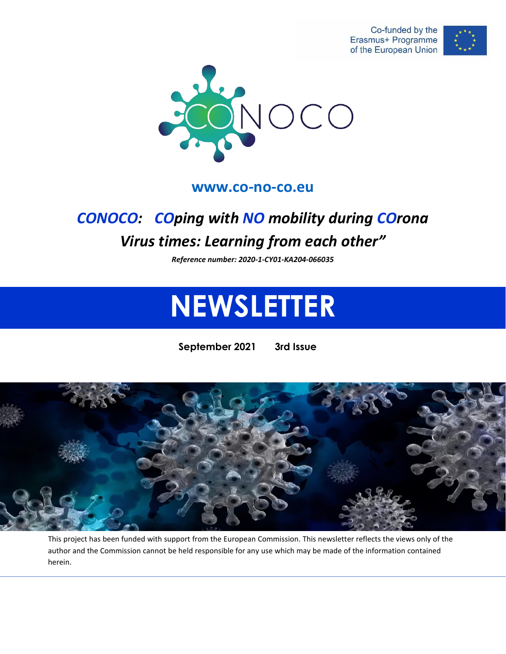Co-funded by the Erasmus+ Programme of the European Union





#### **[www.co-no-co.eu](http://www.co-no-co.eu/)**

## *CONOCO: COping with NO mobility during COrona Virus times: Learning from each other"*

*Reference number: 2020-1-CY01-KA204-066035*

# **NEWSLETTER**

**September 2021 3rd Issue**



This project has been funded with support from the European Commission. This newsletter reflects the views only of the author and the Commission cannot be held responsible for any use which may be made of the information contained herein.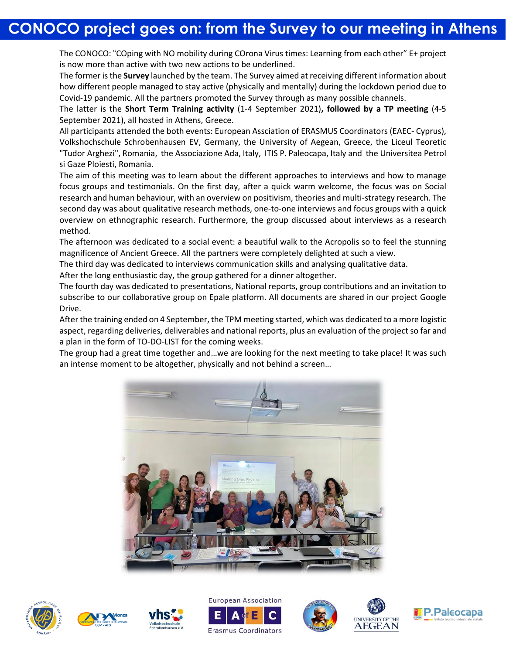## **CONOCO project goes on: from the Survey to our meeting in Athens**

The CONOCO: "COping with NO mobility during COrona Virus times: Learning from each other" E+ project is now more than active with two new actions to be underlined.

The former isthe **Survey** launched by the team. The Survey aimed at receiving different information about how different people managed to stay active (physically and mentally) during the lockdown period due to Covid-19 pandemic. All the partners promoted the Survey through as many possible channels.

The latter is the **Short Term Training activity** (1-4 September 2021)**, followed by a TP meeting** (4-5 September 2021), all hosted in Athens, Greece.

All participants attended the both events: European Assciation of ERASMUS Coordinators (EAEC- Cyprus), Volkshochschule Schrobenhausen EV, Germany, the University of Aegean, Greece, the Liceul Teoretic "Tudor Arghezi", Romania, the Associazione Ada, Italy, ITIS P. Paleocapa, Italy and the Universitea Petrol si Gaze Ploiesti, Romania.

The aim of this meeting was to learn about the different approaches to interviews and how to manage focus groups and testimonials. On the first day, after a quick warm welcome, the focus was on Social research and human behaviour, with an overview on positivism, theories and multi-strategy research. The second day was about qualitative research methods, one-to-one interviews and focus groups with a quick overview on ethnographic research. Furthermore, the group discussed about interviews as a research method.

The afternoon was dedicated to a social event: a beautiful walk to the Acropolis so to feel the stunning magnificence of Ancient Greece. All the partners were completely delighted at such a view.

The third day was dedicated to interviews communication skills and analysing qualitative data.

After the long enthusiastic day, the group gathered for a dinner altogether.

The fourth day was dedicated to presentations, National reports, group contributions and an invitation to subscribe to our collaborative group on Epale platform. All documents are shared in our project Google Drive.

Afterthe training ended on 4 September, the TPM meeting started, which was dedicated to a more logistic aspect, regarding deliveries, deliverables and national reports, plus an evaluation of the project so far and a plan in the form of TO-DO-LIST for the coming weeks.

The group had a great time together and…we are looking for the next meeting to take place! It was such an intense moment to be altogether, physically and not behind a screen…